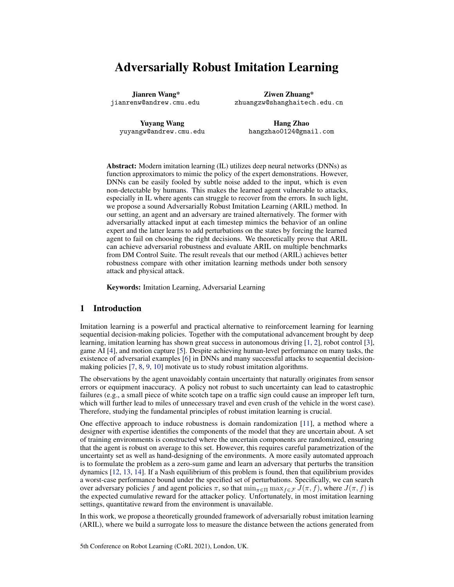# Adversarially Robust Imitation Learning

Jianren Wang\* jianrenw@andrew.cmu.edu

Ziwen Zhuang\* zhuangzw@shanghaitech.edu.cn

Yuyang Wang yuyangw@andrew.cmu.edu

Hang Zhao hangzhao0124@gmail.com

Abstract: Modern imitation learning (IL) utilizes deep neural networks (DNNs) as function approximators to mimic the policy of the expert demonstrations. However, DNNs can be easily fooled by subtle noise added to the input, which is even non-detectable by humans. This makes the learned agent vulnerable to attacks, especially in IL where agents can struggle to recover from the errors. In such light, we propose a sound Adversarially Robust Imitation Learning (ARIL) method. In our setting, an agent and an adversary are trained alternatively. The former with adversarially attacked input at each timestep mimics the behavior of an online expert and the latter learns to add perturbations on the states by forcing the learned agent to fail on choosing the right decisions. We theoretically prove that ARIL can achieve adversarial robustness and evaluate ARIL on multiple benchmarks from DM Control Suite. The result reveals that our method (ARIL) achieves better robustness compare with other imitation learning methods under both sensory attack and physical attack.

Keywords: Imitation Learning, Adversarial Learning

# 1 Introduction

Imitation learning is a powerful and practical alternative to reinforcement learning for learning sequential decision-making policies. Together with the computational advancement brought by deep learning, imitation learning has shown great success in autonomous driving [\[1,](#page-8-0) [2\]](#page-8-0), robot control [\[3\]](#page-8-0), game AI [\[4\]](#page-8-0), and motion capture [\[5\]](#page-8-0). Despite achieving human-level performance on many tasks, the existence of adversarial examples [\[6\]](#page-8-0) in DNNs and many successful attacks to sequential decisionmaking policies [\[7,](#page-8-0) [8,](#page-8-0) [9,](#page-8-0) [10\]](#page-8-0) motivate us to study robust imitation algorithms.

The observations by the agent unavoidably contain uncertainty that naturally originates from sensor errors or equipment inaccuracy. A policy not robust to such uncertainty can lead to catastrophic failures (e.g., a small piece of white scotch tape on a traffic sign could cause an improper left turn, which will further lead to miles of unnecessary travel and even crush of the vehicle in the worst case). Therefore, studying the fundamental principles of robust imitation learning is crucial.

One effective approach to induce robustness is domain randomization [\[11\]](#page-8-0), a method where a designer with expertise identifies the components of the model that they are uncertain about. A set of training environments is constructed where the uncertain components are randomized, ensuring that the agent is robust on average to this set. However, this requires careful parametrization of the uncertainty set as well as hand-designing of the environments. A more easily automated approach is to formulate the problem as a zero-sum game and learn an adversary that perturbs the transition dynamics [\[12,](#page-8-0) [13,](#page-8-0) [14\]](#page-8-0). If a Nash equilibrium of this problem is found, then that equilibrium provides a worst-case performance bound under the specified set of perturbations. Specifically, we can search over adversary policies f and agent policies  $\pi$ , so that  $\min_{\pi \in \Pi} \max_{f \in \mathcal{F}} J(\pi, f)$ , where  $J(\pi, f)$  is the expected cumulative reward for the attacker policy. Unfortunately, in most imitation learning settings, quantitative reward from the environment is unavailable.

In this work, we propose a theoretically grounded framework of adversarially robust imitation learning (ARIL), where we build a surrogate loss to measure the distance between the actions generated from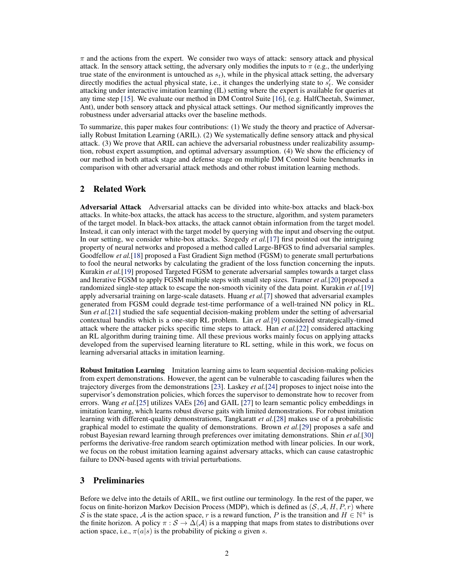$\pi$  and the actions from the expert. We consider two ways of attack: sensory attack and physical attack. In the sensory attack setting, the adversary only modifies the inputs to  $\pi$  (e.g., the underlying true state of the environment is untouched as  $s_t$ ), while in the physical attack setting, the adversary directly modifies the actual physical state, i.e., it changes the underlying state to  $s_t'$ . We consider attacking under interactive imitation learning (IL) setting where the expert is available for queries at any time step [\[15\]](#page-8-0). We evaluate our method in DM Control Suite [\[16\]](#page-8-0), (e.g. HalfCheetah, Swimmer, Ant), under both sensory attack and physical attack settings. Our method significantly improves the robustness under adversarial attacks over the baseline methods.

To summarize, this paper makes four contributions: (1) We study the theory and practice of Adversarially Robust Imitation Learning (ARIL). (2) We systematically define sensory attack and physical attack. (3) We prove that ARIL can achieve the adversarial robustness under realizability assumption, robust expert assumption, and optimal adversary assumption. (4) We show the efficiency of our method in both attack stage and defense stage on multiple DM Control Suite benchmarks in comparison with other adversarial attack methods and other robust imitation learning methods.

# 2 Related Work

Adversarial Attack Adversarial attacks can be divided into white-box attacks and black-box attacks. In white-box attacks, the attack has access to the structure, algorithm, and system parameters of the target model. In black-box attacks, the attack cannot obtain information from the target model. Instead, it can only interact with the target model by querying with the input and observing the output. In our setting, we consider white-box attacks. Szegedy *et al.*[\[17\]](#page-8-0) first pointed out the intriguing property of neural networks and proposed a method called Large-BFGS to find adversarial samples. Goodfellow *et al.*[\[18\]](#page-8-0) proposed a Fast Gradient Sign method (FGSM) to generate small perturbations to fool the neural networks by calculating the gradient of the loss function concerning the inputs. Kurakin *et al.*[\[19\]](#page-8-0) proposed Targeted FGSM to generate adversarial samples towards a target class and Iterative FGSM to apply FGSM multiple steps with small step sizes. Tramer *et al.*[\[20\]](#page-9-0) proposed a randomized single-step attack to escape the non-smooth vicinity of the data point. Kurakin *et al.*[\[19\]](#page-8-0) apply adversarial training on large-scale datasets. Huang *et al.*[\[7\]](#page-8-0) showed that adversarial examples generated from FGSM could degrade test-time performance of a well-trained NN policy in RL. Sun *et al.*[\[21\]](#page-9-0) studied the safe sequential decision-making problem under the setting of adversarial contextual bandits which is a one-step RL problem. Lin *et al.*[\[9\]](#page-8-0) considered strategically-timed attack where the attacker picks specific time steps to attack. Han *et al.*[\[22\]](#page-9-0) considered attacking an RL algorithm during training time. All these previous works mainly focus on applying attacks developed from the supervised learning literature to RL setting, while in this work, we focus on learning adversarial attacks in imitation learning.

Robust Imitation Learning Imitation learning aims to learn sequential decision-making policies from expert demonstrations. However, the agent can be vulnerable to cascading failures when the trajectory diverges from the demonstrations [\[23\]](#page-9-0). Laskey *et al.*[\[24\]](#page-9-0) proposes to inject noise into the supervisor's demonstration policies, which forces the supervisor to demonstrate how to recover from errors. Wang *et al.*[\[25\]](#page-9-0) utilizes VAEs [\[26\]](#page-9-0) and GAIL [\[27\]](#page-9-0) to learn semantic policy embeddings in imitation learning, which learns robust diverse gaits with limited demonstrations. For robust imitation learning with different-quality demonstrations, Tangkaratt *et al.*[\[28\]](#page-9-0) makes use of a probabilistic graphical model to estimate the quality of demonstrations. Brown *et al.*[\[29\]](#page-9-0) proposes a safe and robust Bayesian reward learning through preferences over imitating demonstrations. Shin *et al.*[\[30\]](#page-9-0) performs the derivative-free random search optimization method with linear policies. In our work, we focus on the robust imitation learning against adversary attacks, which can cause catastrophic failure to DNN-based agents with trivial perturbations.

# 3 Preliminaries

Before we delve into the details of ARIL, we first outline our terminology. In the rest of the paper, we focus on finite-horizon Markov Decision Process (MDP), which is defined as  $(S, \mathcal{A}, H, P, r)$  where S is the state space, A is the action space, r is a reward function, P is the transition and  $H \in \mathbb{N}^+$  is the finite horizon. A policy  $\pi : S \to \Delta(\mathcal{A})$  is a mapping that maps from states to distributions over action space, i.e.,  $\pi(a|s)$  is the probability of picking a given s.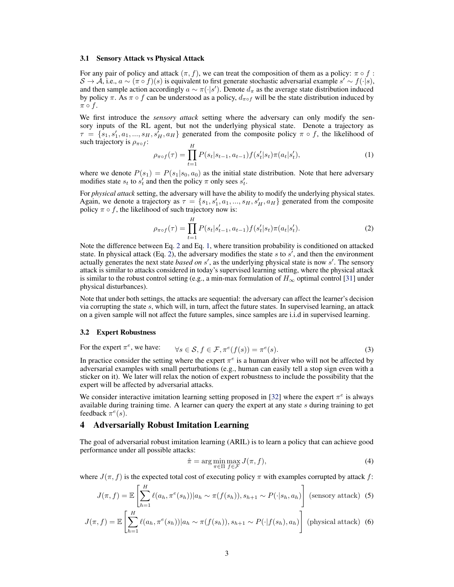#### 3.1 Sensory Attack vs Physical Attack

For any pair of policy and attack  $(\pi, f)$ , we can treat the composition of them as a policy:  $\pi \circ f$ :  $S \to \mathcal{A}$ , i.e.,  $a \sim (\pi \circ f)(s)$  is equivalent to first generate stochastic adversarial example  $s' \sim f(\cdot | s)$ , and then sample action accordingly  $a \sim \pi(\cdot | s')$ . Denote  $d_{\pi}$  as the average state distribution induced by policy  $\pi$ . As  $\pi \circ f$  can be understood as a policy,  $d_{\pi \circ f}$  will be the state distribution induced by  $\pi \circ f$ .

We first introduce the *sensory attack* setting where the adversary can only modify the sensory inputs of the RL agent, but not the underlying physical state. Denote a trajectory as  $\tau = \{s_1, s'_1, a_1, ..., s_H, s'_H, a_H\}$  generated from the composite policy  $\pi \circ f$ , the likelihood of such trajectory is  $\rho_{\pi \circ f}$ :

$$
\rho_{\pi \circ f}(\tau) = \prod_{t=1}^{H} P(s_t | s_{t-1}, a_{t-1}) f(s'_t | s_t) \pi(a_t | s'_t), \tag{1}
$$

where we denote  $P(s_1) = P(s_1|s_0, a_0)$  as the initial state distribution. Note that here adversary modifies state  $s_t$  to  $s'_t$  and then the policy  $\pi$  only sees  $s'_t$ .

For *physical attack* setting, the adversary will have the ability to modify the underlying physical states. Again, we denote a trajectory as  $\tau = \{s_1, s_1', a_1, ..., s_H, s_H', a_H\}$  generated from the composite policy  $\pi \circ f$ , the likelihood of such trajectory now is:

$$
\rho_{\pi \circ f}(\tau) = \prod_{t=1}^{H} P(s_t | s'_{t-1}, a_{t-1}) f(s'_t | s_t) \pi(a_t | s'_t). \tag{2}
$$

Note the difference between Eq. 2 and Eq. 1, where transition probability is conditioned on attacked state. In physical attack (Eq. 2), the adversary modifies the state s to  $s'$ , and then the environment actually generates the next state *based on s'*, as the underlying physical state is now s'. The sensory attack is similar to attacks considered in today's supervised learning setting, where the physical attack is similar to the robust control setting (e.g., a min-max formulation of  $H_{\infty}$  optimal control [\[31\]](#page-9-0) under physical disturbances).

Note that under both settings, the attacks are sequential: the adversary can affect the learner's decision via corrupting the state s, which will, in turn, affect the future states. In supervised learning, an attack on a given sample will not affect the future samples, since samples are i.i.d in supervised learning.

#### 3.2 Expert Robustness

For the expert  $\pi^e$ , we have:  $\forall s \in \mathcal{S}, f \in \mathcal{F}, \pi^e(f(s)) = \pi^e$  $(s)$ . (3)

In practice consider the setting where the expert  $\pi^e$  is a human driver who will not be affected by adversarial examples with small perturbations (e.g., human can easily tell a stop sign even with a sticker on it). We later will relax the notion of expert robustness to include the possibility that the expert will be affected by adversarial attacks.

We consider interactive imitation learning setting proposed in [\[32\]](#page-9-0) where the expert  $\pi^e$  is always available during training time. A learner can query the expert at any state s during training to get feedback  $\pi^e(s)$ .

# 4 Adversarially Robust Imitation Learning

The goal of adversarial robust imitation learning (ARIL) is to learn a policy that can achieve good performance under all possible attacks:

$$
\hat{\pi} = \arg\min_{\pi \in \Pi} \max_{f \in \mathcal{F}} J(\pi, f),\tag{4}
$$

where  $J(\pi, f)$  is the expected total cost of executing policy  $\pi$  with examples corrupted by attack f:

$$
J(\pi, f) = \mathbb{E}\left[\sum_{h=1}^{H} \ell(a_h, \pi^e(s_h)) | a_h \sim \pi(f(s_h)), s_{h+1} \sim P(\cdot | s_h, a_h)\right]
$$
 (sensory attack) (5)

$$
J(\pi, f) = \mathbb{E}\left[\sum_{h=1}^{H} \ell(a_h, \pi^e(s_h)) | a_h \sim \pi(f(s_h)), s_{h+1} \sim P(\cdot | f(s_h), a_h)\right]
$$
 (physical attack) (6)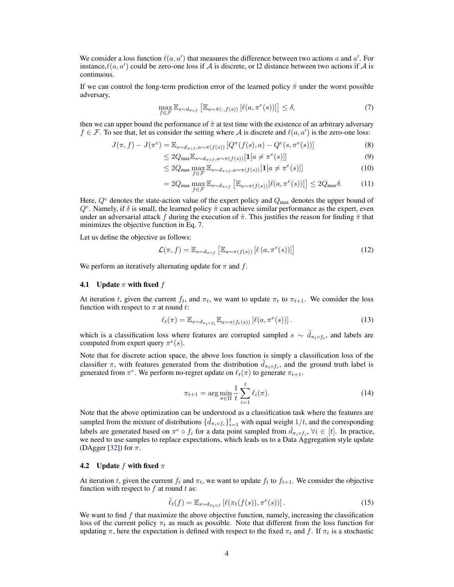We consider a loss function  $\ell(a, a')$  that measures the difference between two actions a and a'. For instance,  $\ell(a, a')$  could be zero-one loss if A is discrete, or 12 distance between two actions if A is continuous.

If we can control the long-term prediction error of the learned policy  $\hat{\pi}$  under the worst possible adversary,

$$
\max_{f \in \mathcal{F}} \mathbb{E}_{s \sim d_{\hat{\pi}\circ f}} \left[ \mathbb{E}_{a \sim \hat{\pi}(\cdot, f(s))} \left[ \ell(a, \pi^e(s)) \right] \right] \le \delta,\tag{7}
$$

then we can upper bound the performance of  $\hat{\pi}$  at test time with the existence of an arbitrary adversary  $f \in \mathcal{F}$ . To see that, let us consider the setting where A is discrete and  $\ell(a, a')$  is the zero-one loss:

$$
J(\pi, f) - J(\pi^e) = \mathbb{E}_{s \sim d_{\pi \circ f}, a \sim \pi(f(s))} \left[ Q^\pi(f(s), a) - Q^\epsilon(s, \pi^\epsilon(s)) \right]
$$
(8)

$$
\leq 2Q_{\max} \mathbb{E}_{s \sim d_{\pi \circ f}, a \sim \pi(f(s))} [\mathbf{1}[a \neq \pi^e(s)]] \tag{9}
$$

$$
\leq 2Q_{\max} \max_{f \in \mathcal{F}} \mathbb{E}_{s \sim d_{\pi \circ f}, a \sim \pi(f(s))} [\mathbf{1}[a \neq \pi^e(s)]] \tag{10}
$$

$$
=2Q_{\max}\max_{f\in\mathcal{F}}\mathbb{E}_{s\sim d_{\pi\circ f}}\left[\mathbb{E}_{a\sim\pi(f(s))}[\ell(a,\pi^e(s))]\right]\leq 2Q_{\max}\delta.
$$
 (11)

Here,  $Q^e$  denotes the state-action value of the expert policy and  $Q_{\text{max}}$  denotes the upper bound of  $Q^e$ . Namely, if  $\delta$  is small, the learned policy  $\hat{\pi}$  can achieve similar performance as the expert, even under an adversarial attack f during the execution of  $\hat{\pi}$ . This justifies the reason for finding  $\hat{\pi}$  that minimizes the objective function in Eq. 7.

Let us define the objective as follows:

$$
\mathcal{L}(\pi, f) = \mathbb{E}_{s \sim d_{\pi \circ f}} \left[ \mathbb{E}_{a \sim \pi(f(s))} \left[ \ell \left( a, \pi^e(s) \right) \right] \right]
$$
 (12)

We perform an iteratively alternating update for  $\pi$  and  $f$ .

### **4.1** Update  $\pi$  with fixed  $f$

At iteration t, given the current  $f_t$ , and  $\pi_t$ , we want to update  $\pi_t$  to  $\pi_{t+1}$ . We consider the loss function with respect to  $\pi$  at round t:

$$
\ell_t(\pi) = \mathbb{E}_{s \sim d_{\pi_t \circ f_t}} \mathbb{E}_{a \sim \pi(f_t(s))} \left[ \ell(a, \pi^e(s)) \right]. \tag{13}
$$

which is a classification loss where features are corrupted sampled  $s \sim \tilde{d}_{\pi_t \circ f_t}$ , and labels are computed from expert query  $\pi^e(s)$ .

Note that for discrete action space, the above loss function is simply a classification loss of the classifier  $\pi$ , with features generated from the distribution  $\tilde{d}_{\pi_t \circ f_t}$ , and the ground truth label is generated from  $\pi^e$ . We perform no-regret update on  $\ell_t(\pi)$  to generate  $\pi_{t+1}$ .

$$
\pi_{t+1} = \arg\min_{\pi \in \Pi} \frac{1}{t} \sum_{i=1}^{t} \ell_i(\pi).
$$
 (14)

Note that the above optimization can be understood as a classification task where the features are sampled from the mixture of distributions  $\{\tilde{d}_{\pi_i \circ f_i}\}_{i=1}^t$  with equal weight  $1/t$ , and the corresponding labels are generated based on  $\pi^e \circ f_i$  for a data point sampled from  $\tilde{d}_{\pi_i \circ f_i}$ ,  $\forall i \in [t]$ . In practice, we need to use samples to replace expectations, which leads us to a Data Aggregation style update (DAgger [\[32\]](#page-9-0)) for  $\pi$ .

### 4.2 Update f with fixed  $\pi$

At iteration t, given the current  $f_t$  and  $\pi_t$ , we want to update  $f_t$  to  $f_{t+1}$ . We consider the objective function with respect to  $f$  at round  $t$  as:

$$
\tilde{\ell}_t(f) = \mathbb{E}_{s \sim d_{\pi_t \circ f}} \left[ \ell(\pi_t(f(s)), \pi^e(s)) \right]. \tag{15}
$$

We want to find  $f$  that maximize the above objective function, namely, increasing the classification loss of the current policy  $\pi_t$  as much as possible. Note that different from the loss function for updating  $\pi$ , here the expectation is defined with respect to the fixed  $\pi_t$  and f. If  $\pi_t$  is a stochastic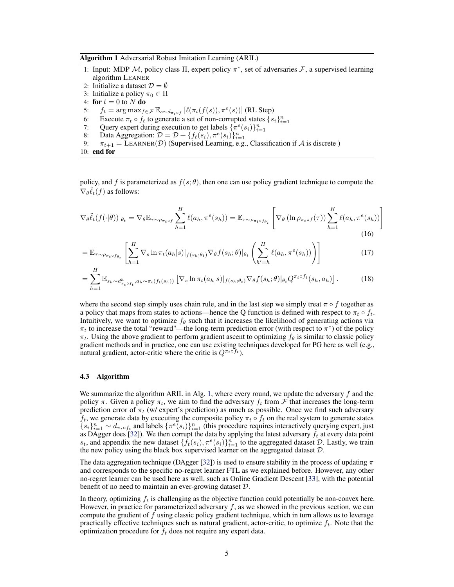<span id="page-4-0"></span>Algorithm 1 Adversarial Robust Imitation Learning (ARIL)

- 1: Input: MDP M, policy class  $\Pi$ , expert policy  $\pi^*$ , set of adversaries  $\mathcal F$ , a supervised learning algorithm LEANER
- 2: Initialize a dataset  $\mathcal{D} = \emptyset$
- 3: Initialize a policy  $\pi_0 \in \Pi$
- 4: for  $t = 0$  to  $N$  do
- 5:  $f_t = \arg \max_{f \in \mathcal{F}} \mathbb{E}_{s \sim d_{\pi_t \circ f}} \left[ \ell(\pi_t(f(s)), \pi^e(s)) \right]$  (RL Step)
- 6: Execute  $\pi_t \circ f_t$  to generate a set of non-corrupted states  $\{s_i\}_{i=1}^n$
- 7: Query expert during execution to get labels  $\{\pi^e(s_i)\}_{i=1}^n$
- 8: Data Aggregation:  $\mathcal{D} = \mathcal{D} + \{f_t(s_i), \pi^e(s_i)\}_{i=1}^n$
- 9:  $\pi_{t+1} = \text{LEARNING}(\mathcal{D})$  (Supervised Learning, e.g., Classification if A is discrete)
- 10: end for

policy, and f is parameterized as  $f(s; \theta)$ , then one can use policy gradient technique to compute the  $\nabla_{\theta} \tilde{\ell}_t(f)$  as follows:

$$
\nabla_{\theta}\tilde{\ell}_{t}(f(\cdot|\theta))|_{\theta_{t}} = \nabla_{\theta}\mathbb{E}_{\tau \sim \rho_{\pi_{t}\circ f}} \sum_{h=1}^{H} \ell(a_{h}, \pi^{e}(s_{h})) = \mathbb{E}_{\tau \sim \rho_{\pi_{t}\circ f_{\theta_{t}}}} \left[ \nabla_{\theta} \left( \ln \rho_{\pi_{t}\circ f}(\tau) \right) \sum_{h=1}^{H} \ell(a_{h}, \pi^{e}(s_{h})) \right]
$$
(16)

$$
= \mathbb{E}_{\tau \sim \rho_{\pi_t \circ f_{\theta_t}}} \left[ \sum_{h=1}^H \nabla_s \ln \pi_t(a_h|s) |_{f(s_h; \theta_t)} \nabla_{\theta} f(s_h; \theta) |_{\theta_t} \left( \sum_{h'=h}^H \ell(a_h, \pi^e(s_h)) \right) \right]
$$
(17)

$$
= \sum_{h=1}^{H} \mathbb{E}_{s_h \sim d_{\pi_t \circ f_t}^h, a_h \sim \pi_t(f_t(s_h))} \left[ \nabla_s \ln \pi_t(a_h|s) |_{f(s_h; \theta_t)} \nabla_{\theta} f(s_h; \theta) |_{\theta_t} Q^{\pi_t \circ f_t}(s_h, a_h) \right]. \tag{18}
$$

where the second step simply uses chain rule, and in the last step we simply treat  $\pi \circ f$  together as a policy that maps from states to actions—hence the Q function is defined with respect to  $\pi_t \circ f_t$ . Intuitively, we want to optimize  $f_\theta$  such that it increases the likelihood of generating actions via  $\pi_t$  to increase the total "reward"—the long-term prediction error (with respect to  $\pi^e$ ) of the policy  $\pi_t$ . Using the above gradient to perform gradient ascent to optimizing  $f_\theta$  is similar to classic policy gradient methods and in practice, one can use existing techniques developed for PG here as well (e.g., natural gradient, actor-critic where the critic is  $Q^{\pi_t \circ f_t}$ ).

#### 4.3 Algorithm

We summarize the algorithm ARIL in Alg. 1, where every round, we update the adversary  $f$  and the policy  $\pi$ . Given a policy  $\pi_t$ , we aim to find the adversary  $f_t$  from  $\mathcal F$  that increases the long-term prediction error of  $\pi_t$  (w/ expert's prediction) as much as possible. Once we find such adversary  $f_t$ , we generate data by executing the composite policy  $\pi_t \circ f_t$  on the real system to generate states  ${s_i}_{i=1}^n \sim d_{\pi_t \circ f_t}$  and labels  $\{\pi^e(s_i)\}_{i=1}^n$  (this procedure requires interactively querying expert, just as DAgger does [\[32\]](#page-9-0)). We then corrupt the data by applying the latest adversary  $f_t$  at every data point  $s_t$ , and appendix the new dataset  $\{\hat{f}_t(s_i), \pi^e(s_i)\}_{i=1}^n$  to the aggregated dataset  $\mathcal{D}$ . Lastly, we train the new policy using the black box supervised learner on the aggregated dataset  $D$ .

The data aggregation technique (DAgger [\[32\]](#page-9-0)) is used to ensure stability in the process of updating  $\pi$ and corresponds to the specific no-regret learner FTL as we explained before. However, any other no-regret learner can be used here as well, such as Online Gradient Descent [\[33\]](#page-9-0), with the potential benefit of no need to maintain an ever-growing dataset D.

In theory, optimizing  $f_t$  is challenging as the objective function could potentially be non-convex here. However, in practice for parameterized adversary  $f$ , as we showed in the previous section, we can compute the gradient of  $f$  using classic policy gradient technique, which in turn allows us to leverage practically effective techniques such as natural gradient, actor-critic, to optimize  $f_t$ . Note that the optimization procedure for  $f_t$  does not require any expert data.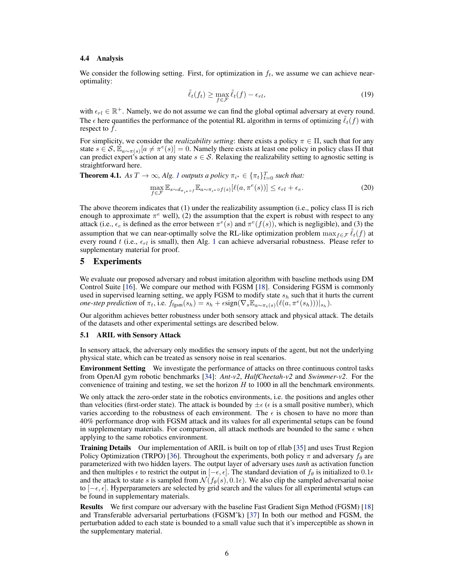### 4.4 Analysis

We consider the following setting. First, for optimization in  $f_t$ , we assume we can achieve nearoptimality:

$$
\tilde{\ell}_t(f_t) \ge \max_{f \in \mathcal{F}} \tilde{\ell}_t(f) - \epsilon_{rl},\tag{19}
$$

with  $\epsilon_{rl} \in \mathbb{R}^+$ . Namely, we do not assume we can find the global optimal adversary at every round. The  $\epsilon$  here quantifies the performance of the potential RL algorithm in terms of optimizing  $\ell_t(f)$  with respect to f.

For simplicity, we consider the *realizability setting*: there exists a policy  $\pi \in \Pi$ , such that for any state  $s \in \mathcal{S}, \mathbb{E}_{a \sim \pi(s)}[a \neq \pi^e(s)] = 0$ . Namely there exists at least one policy in policy class  $\Pi$  that can predict expert's action at any state  $s \in S$ . Relaxing the realizability setting to agnostic setting is straightforward here.

**Theorem 4.1.** As 
$$
T \to \infty
$$
, Alg. 1 outputs a policy  $\pi_{i^*} \in {\{\pi_t\}}_{t=0}^T$  such that:  
\n
$$
\max_{f \in \mathcal{F}} \mathbb{E}_{s \sim d_{\pi_{i^*} \circ f}} \mathbb{E}_{a \sim \pi_{i^*} \circ f(s)} [\ell(a, \pi^e(s))] \le \epsilon_{rl} + \epsilon_e.
$$
\n(20)

The above theorem indicates that (1) under the realizability assumption (i.e., policy class Π is rich enough to approximate  $\pi^e$  well), (2) the assumption that the expert is robust with respect to any attack (i.e.,  $\epsilon_e$  is defined as the error between  $\pi^e(s)$  and  $\pi^e(f(s))$ , which is negligible), and (3) the assumption that we can near-optimally solve the RL-like optimization problem  $\max_{f \in \mathcal{F}} \ell_t(f)$  at every round t (i.e.,  $\epsilon_{rl}$  is small), then Alg. [1](#page-4-0) can achieve adversarial robustness. Please refer to supplementary material for proof.

# 5 Experiments

We evaluate our proposed adversary and robust imitation algorithm with baseline methods using DM Control Suite [\[16\]](#page-8-0). We compare our method with FGSM [\[18\]](#page-8-0). Considering FGSM is commonly used in supervised learning setting, we apply FGSM to modify state  $s_h$  such that it hurts the current *one-step prediction* of  $\pi_t$ , i.e.  $f_{\text{fgsm}}(s_h) = s_h + \epsilon \text{sign}(\nabla_s \mathbb{E}_{a \sim \pi_t(s)}(\ell(a, \pi^e(s_h)))|_{s_h}).$ 

Our algorithm achieves better robustness under both sensory attack and physical attack. The details of the datasets and other experimental settings are described below.

## 5.1 ARIL with Sensory Attack

In sensory attack, the adversary only modifies the sensory inputs of the agent, but not the underlying physical state, which can be treated as sensory noise in real scenarios.

Environment Setting We investigate the performance of attacks on three continuous control tasks from OpenAI gym robotic benchmarks [\[34\]](#page-9-0): *Ant-v2*, *HalfCheetah-v2* and *Swimmer-v2*. For the convenience of training and testing, we set the horizon  $H$  to 1000 in all the benchmark environments.

We only attack the zero-order state in the robotics environments, i.e. the positions and angles other than velocities (first-order state). The attack is bounded by  $\pm \epsilon$  ( $\epsilon$  is a small positive number), which varies according to the robustness of each environment. The  $\epsilon$  is chosen to have no more than 40% performance drop with FGSM attack and its values for all experimental setups can be found in supplementary materials. For comparison, all attack methods are bounded to the same  $\epsilon$  when applying to the same robotics environment.

Training Details Our implementation of ARIL is built on top of rllab [\[35\]](#page-9-0) and uses Trust Region Policy Optimization (TRPO) [\[36\]](#page-9-0). Throughout the experiments, both policy  $\pi$  and adversary  $f_\theta$  are parameterized with two hidden layers. The output layer of adversary uses *tanh* as activation function and then multiples  $\epsilon$  to restrict the output in  $[-\epsilon, \epsilon]$ . The standard deviation of  $f_\theta$  is initialized to 0.1 $\epsilon$ and the attack to state s is sampled from  $\mathcal{N}(f_{\theta}(s), 0.1\epsilon)$ . We also clip the sampled adversarial noise to  $[-\epsilon, \epsilon]$ . Hyperparameters are selected by grid search and the values for all experimental setups can be found in supplementary materials.

Results We first compare our adversary with the baseline Fast Gradient Sign Method (FGSM) [\[18\]](#page-8-0) and Transferable adversarial perturbations (FGSMˆk) [\[37\]](#page-9-0) In both our method and FGSM, the perturbation added to each state is bounded to a small value such that it's imperceptible as shown in the supplementary material.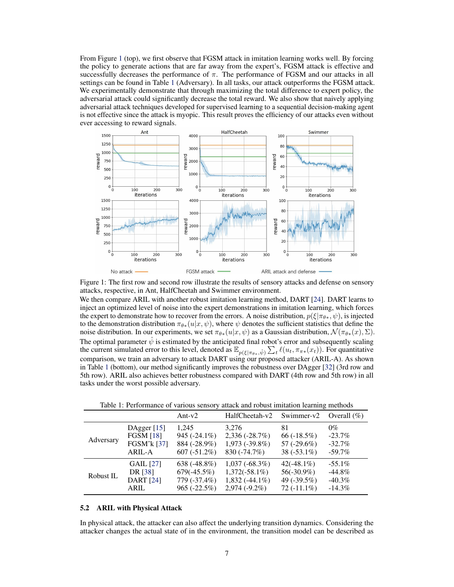From Figure 1 (top), we first observe that FGSM attack in imitation learning works well. By forcing the policy to generate actions that are far away from the expert's, FGSM attack is effective and successfully decreases the performance of  $\pi$ . The performance of FGSM and our attacks in all settings can be found in Table 1 (Adversary). In all tasks, our attack outperforms the FGSM attack. We experimentally demonstrate that through maximizing the total difference to expert policy, the adversarial attack could significantly decrease the total reward. We also show that naively applying adversarial attack techniques developed for supervised learning to a sequential decision-making agent is not effective since the attack is myopic. This result proves the efficiency of our attacks even without ever accessing to reward signals.



Figure 1: The first row and second row illustrate the results of sensory attacks and defense on sensory attacks, respective, in Ant, HalfCheetah and Swimmer environment.

We then compare ARIL with another robust imitation learning method, DART [\[24\]](#page-9-0). DART learns to inject an optimized level of noise into the expert demonstrations in imitation learning, which forces the expert to demonstrate how to recover from the errors. A noise distribution,  $p(\xi|\pi_{\theta^*}, \psi)$ , is injected to the demonstration distribution  $\pi_{\theta*}(u|x, \psi)$ , where  $\psi$  denotes the sufficient statistics that define the noise distribution. In our experiments, we set  $\pi_{\theta*}(u|x, \psi)$  as a Gaussian distribution,  $\mathcal{N}(\pi_{\theta*}(x), \Sigma)$ . The optimal parameter  $\hat{\psi}$  is estimated by the anticipated final robot's error and subsequently scaling the current simulated error to this level, denoted as  $\mathbb{E}_{p(\xi|\pi_{\theta^*}, \hat{\psi})} \sum_t \ell(u_t, \pi_{\pi^*}(x_t))$ . For quantitative comparison, we train an adversary to attack DART using our proposed attacker (ARIL-A). As shown in Table 1 (bottom), our method significantly improves the robustness over DAgger [\[32\]](#page-9-0) (3rd row and 5th row). ARIL also achieves better robustness compared with DART (4th row and 5th row) in all tasks under the worst possible adversary.

Table 1: Performance of various sensory attack and robust imitation learning methods

|           |                  | Ant- $v2$       | HalfCheetah-v2    | Swimmer-v2    | Overall $(\% )$ |
|-----------|------------------|-----------------|-------------------|---------------|-----------------|
| Adversary | DAgger $[15]$    | 1.245           | 3.276             | 81            | $0\%$           |
|           | <b>FGSM [18]</b> | 945 $(-24.1\%)$ | $2,336(-28.7%)$   | 66 $(-18.5%)$ | $-23.7\%$       |
|           | FGSM^k [37]      | 884 (-28.9%)    | $1,973(-39.8\%)$  | 57 $(-29.6%)$ | $-32.7%$        |
|           | ARIL-A           | $607 (-51.2\%)$ | 830 (-74.7%)      | $38(-53.1\%)$ | $-59.7\%$       |
| Robust IL | <b>GAIL</b> [27] | 638 $(-48.8\%)$ | $1,037(-68.3%)$   | $42(-48.1\%)$ | $-55.1\%$       |
|           | DR [38]          | $679(-45.5%)$   | $1,372(-58.1\%)$  | $56(-30.9\%)$ | $-44.8\%$       |
|           | <b>DART</b> [24] | 779 (-37.4%)    | $1,832 (+44.1\%)$ | 49 $(-39.5%)$ | $-40.3\%$       |
|           | ARII.            | $965 (-22.5\%)$ | $2,974(-9.2\%)$   | $72(-11.1\%)$ | $-14.3%$        |

## 5.2 ARIL with Physical Attack

In physical attack, the attacker can also affect the underlying transition dynamics. Considering the attacker changes the actual state of in the environment, the transition model can be described as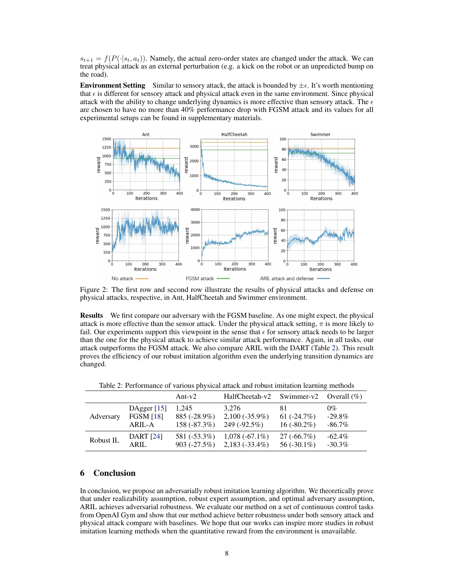$s_{t+1} = f(P(\cdot|s_t, a_t))$ . Namely, the actual zero-order states are changed under the attack. We can treat physical attack as an external perturbation (e.g. a kick on the robot or an unpredicted bump on the road).

**Environment Setting** Similar to sensory attack, the attack is bounded by  $\pm \epsilon$ . It's worth mentioning that  $\epsilon$  is different for sensory attack and physical attack even in the same environment. Since physical attack with the ability to change underlying dynamics is more effective than sensory attack. The  $\epsilon$ are chosen to have no more than 40% performance drop with FGSM attack and its values for all experimental setups can be found in supplementary materials.



Figure 2: The first row and second row illustrate the results of physical attacks and defense on physical attacks, respective, in Ant, HalfCheetah and Swimmer environment.

Results We first compare our adversary with the FGSM baseline. As one might expect, the physical attack is more effective than the sensor attack. Under the physical attack setting,  $\pi$  is more likely to fail. Our experiments support this viewpoint in the sense that  $\epsilon$  for sensory attack needs to be larger than the one for the physical attack to achieve similar attack performance. Again, in all tasks, our attack outperforms the FGSM attack. We also compare ARIL with the DART (Table 2). This result proves the efficiency of our robust imitation algorithm even the underlying transition dynamics are changed.

|           |                  | Ant- $v2$      | HalfCheetah-v2   | Swimmer-v2     | Overall $(\%)$ |
|-----------|------------------|----------------|------------------|----------------|----------------|
| Adversary | DAgger $[15]$    | 1.245          | 3.276            | 81             | $0\%$          |
|           | <b>FGSM</b> [18] | 885 (-28.9%)   | $2,100(-35.9\%)$ | 61 $(-24.7%)$  | $-29.8\%$      |
|           | ARIL-A           | 158 $(-87.3%)$ | 249 (-92.5%)     | $16(-80.2\%)$  | $-86.7\%$      |
| Robust IL | <b>DART</b> [24] | 581 (-53.3%)   | $1,078(-67.1\%)$ | $27(-66.7%)$   | $-62.4\%$      |
|           | <b>ARIL</b>      | $903 (-27.5%)$ | $2,183(-33.4\%)$ | 56 $(-30.1\%)$ | $-30.3\%$      |

Table 2: Performance of various physical attack and robust imitation learning methods

# 6 Conclusion

In conclusion, we propose an adversarially robust imitation learning algorithm. We theoretically prove that under realizability assumption, robust expert assumption, and optimal adversary assumption, ARIL achieves adversarial robustness. We evaluate our method on a set of continuous control tasks from OpenAI Gym and show that our method achieve better robustness under both sensory attack and physical attack compare with baselines. We hope that our works can inspire more studies in robust imitation learning methods when the quantitative reward from the environment is unavailable.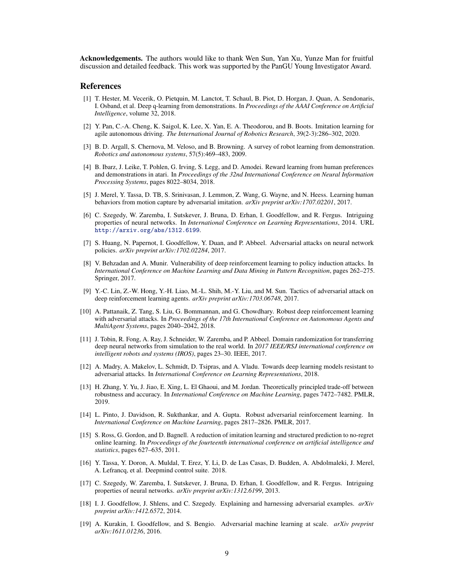<span id="page-8-0"></span>Acknowledgements. The authors would like to thank Wen Sun, Yan Xu, Yunze Man for fruitful discussion and detailed feedback. This work was supported by the PanGU Young Investigator Award.

## **References**

- [1] T. Hester, M. Vecerik, O. Pietquin, M. Lanctot, T. Schaul, B. Piot, D. Horgan, J. Quan, A. Sendonaris, I. Osband, et al. Deep q-learning from demonstrations. In *Proceedings of the AAAI Conference on Artificial Intelligence*, volume 32, 2018.
- [2] Y. Pan, C.-A. Cheng, K. Saigol, K. Lee, X. Yan, E. A. Theodorou, and B. Boots. Imitation learning for agile autonomous driving. *The International Journal of Robotics Research*, 39(2-3):286–302, 2020.
- [3] B. D. Argall, S. Chernova, M. Veloso, and B. Browning. A survey of robot learning from demonstration. *Robotics and autonomous systems*, 57(5):469–483, 2009.
- [4] B. Ibarz, J. Leike, T. Pohlen, G. Irving, S. Legg, and D. Amodei. Reward learning from human preferences and demonstrations in atari. In *Proceedings of the 32nd International Conference on Neural Information Processing Systems*, pages 8022–8034, 2018.
- [5] J. Merel, Y. Tassa, D. TB, S. Srinivasan, J. Lemmon, Z. Wang, G. Wayne, and N. Heess. Learning human behaviors from motion capture by adversarial imitation. *arXiv preprint arXiv:1707.02201*, 2017.
- [6] C. Szegedy, W. Zaremba, I. Sutskever, J. Bruna, D. Erhan, I. Goodfellow, and R. Fergus. Intriguing properties of neural networks. In *International Conference on Learning Representations*, 2014. URL <http://arxiv.org/abs/1312.6199>.
- [7] S. Huang, N. Papernot, I. Goodfellow, Y. Duan, and P. Abbeel. Adversarial attacks on neural network policies. *arXiv preprint arXiv:1702.02284*, 2017.
- [8] V. Behzadan and A. Munir. Vulnerability of deep reinforcement learning to policy induction attacks. In *International Conference on Machine Learning and Data Mining in Pattern Recognition*, pages 262–275. Springer, 2017.
- [9] Y.-C. Lin, Z.-W. Hong, Y.-H. Liao, M.-L. Shih, M.-Y. Liu, and M. Sun. Tactics of adversarial attack on deep reinforcement learning agents. *arXiv preprint arXiv:1703.06748*, 2017.
- [10] A. Pattanaik, Z. Tang, S. Liu, G. Bommannan, and G. Chowdhary. Robust deep reinforcement learning with adversarial attacks. In *Proceedings of the 17th International Conference on Autonomous Agents and MultiAgent Systems*, pages 2040–2042, 2018.
- [11] J. Tobin, R. Fong, A. Ray, J. Schneider, W. Zaremba, and P. Abbeel. Domain randomization for transferring deep neural networks from simulation to the real world. In *2017 IEEE/RSJ international conference on intelligent robots and systems (IROS)*, pages 23–30. IEEE, 2017.
- [12] A. Madry, A. Makelov, L. Schmidt, D. Tsipras, and A. Vladu. Towards deep learning models resistant to adversarial attacks. In *International Conference on Learning Representations*, 2018.
- [13] H. Zhang, Y. Yu, J. Jiao, E. Xing, L. El Ghaoui, and M. Jordan. Theoretically principled trade-off between robustness and accuracy. In *International Conference on Machine Learning*, pages 7472–7482. PMLR, 2019.
- [14] L. Pinto, J. Davidson, R. Sukthankar, and A. Gupta. Robust adversarial reinforcement learning. In *International Conference on Machine Learning*, pages 2817–2826. PMLR, 2017.
- [15] S. Ross, G. Gordon, and D. Bagnell. A reduction of imitation learning and structured prediction to no-regret online learning. In *Proceedings of the fourteenth international conference on artificial intelligence and statistics*, pages 627–635, 2011.
- [16] Y. Tassa, Y. Doron, A. Muldal, T. Erez, Y. Li, D. de Las Casas, D. Budden, A. Abdolmaleki, J. Merel, A. Lefrancq, et al. Deepmind control suite. 2018.
- [17] C. Szegedy, W. Zaremba, I. Sutskever, J. Bruna, D. Erhan, I. Goodfellow, and R. Fergus. Intriguing properties of neural networks. *arXiv preprint arXiv:1312.6199*, 2013.
- [18] I. J. Goodfellow, J. Shlens, and C. Szegedy. Explaining and harnessing adversarial examples. *arXiv preprint arXiv:1412.6572*, 2014.
- [19] A. Kurakin, I. Goodfellow, and S. Bengio. Adversarial machine learning at scale. *arXiv preprint arXiv:1611.01236*, 2016.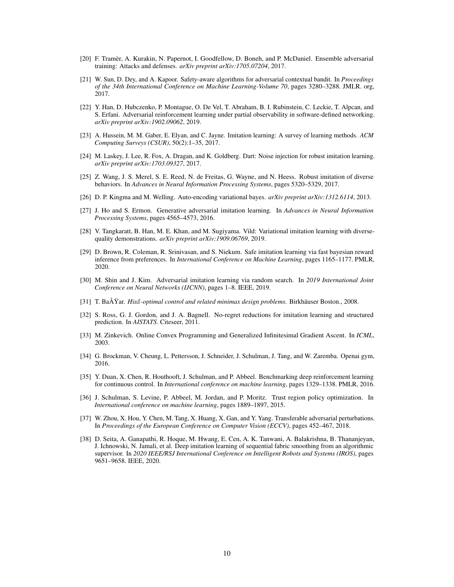- <span id="page-9-0"></span>[20] F. Tramèr, A. Kurakin, N. Papernot, I. Goodfellow, D. Boneh, and P. McDaniel. Ensemble adversarial training: Attacks and defenses. *arXiv preprint arXiv:1705.07204*, 2017.
- [21] W. Sun, D. Dey, and A. Kapoor. Safety-aware algorithms for adversarial contextual bandit. In *Proceedings of the 34th International Conference on Machine Learning-Volume 70*, pages 3280–3288. JMLR. org, 2017.
- [22] Y. Han, D. Hubczenko, P. Montague, O. De Vel, T. Abraham, B. I. Rubinstein, C. Leckie, T. Alpcan, and S. Erfani. Adversarial reinforcement learning under partial observability in software-defined networking. *arXiv preprint arXiv:1902.09062*, 2019.
- [23] A. Hussein, M. M. Gaber, E. Elyan, and C. Jayne. Imitation learning: A survey of learning methods. *ACM Computing Surveys (CSUR)*, 50(2):1–35, 2017.
- [24] M. Laskey, J. Lee, R. Fox, A. Dragan, and K. Goldberg. Dart: Noise injection for robust imitation learning. *arXiv preprint arXiv:1703.09327*, 2017.
- [25] Z. Wang, J. S. Merel, S. E. Reed, N. de Freitas, G. Wayne, and N. Heess. Robust imitation of diverse behaviors. In *Advances in Neural Information Processing Systems*, pages 5320–5329, 2017.
- [26] D. P. Kingma and M. Welling. Auto-encoding variational bayes. *arXiv preprint arXiv:1312.6114*, 2013.
- [27] J. Ho and S. Ermon. Generative adversarial imitation learning. In *Advances in Neural Information Processing Systems*, pages 4565–4573, 2016.
- [28] V. Tangkaratt, B. Han, M. E. Khan, and M. Sugiyama. Vild: Variational imitation learning with diversequality demonstrations. *arXiv preprint arXiv:1909.06769*, 2019.
- [29] D. Brown, R. Coleman, R. Srinivasan, and S. Niekum. Safe imitation learning via fast bayesian reward inference from preferences. In *International Conference on Machine Learning*, pages 1165–1177. PMLR, 2020.
- [30] M. Shin and J. Kim. Adversarial imitation learning via random search. In *2019 International Joint Conference on Neural Networks (IJCNN)*, pages 1–8. IEEE, 2019.
- [31] T. BaÅŸar. *H*inf*-optimal control and related minimax design problems*. Birkhäuser Boston., 2008.
- [32] S. Ross, G. J. Gordon, and J. A. Bagnell. No-regret reductions for imitation learning and structured prediction. In *AISTATS*. Citeseer, 2011.
- [33] M. Zinkevich. Online Convex Programming and Generalized Infinitesimal Gradient Ascent. In *ICML*, 2003.
- [34] G. Brockman, V. Cheung, L. Pettersson, J. Schneider, J. Schulman, J. Tang, and W. Zaremba. Openai gym, 2016.
- [35] Y. Duan, X. Chen, R. Houthooft, J. Schulman, and P. Abbeel. Benchmarking deep reinforcement learning for continuous control. In *International conference on machine learning*, pages 1329–1338. PMLR, 2016.
- [36] J. Schulman, S. Levine, P. Abbeel, M. Jordan, and P. Moritz. Trust region policy optimization. In *International conference on machine learning*, pages 1889–1897, 2015.
- [37] W. Zhou, X. Hou, Y. Chen, M. Tang, X. Huang, X. Gan, and Y. Yang. Transferable adversarial perturbations. In *Proceedings of the European Conference on Computer Vision (ECCV)*, pages 452–467, 2018.
- [38] D. Seita, A. Ganapathi, R. Hoque, M. Hwang, E. Cen, A. K. Tanwani, A. Balakrishna, B. Thananjeyan, J. Ichnowski, N. Jamali, et al. Deep imitation learning of sequential fabric smoothing from an algorithmic supervisor. In *2020 IEEE/RSJ International Conference on Intelligent Robots and Systems (IROS)*, pages 9651–9658. IEEE, 2020.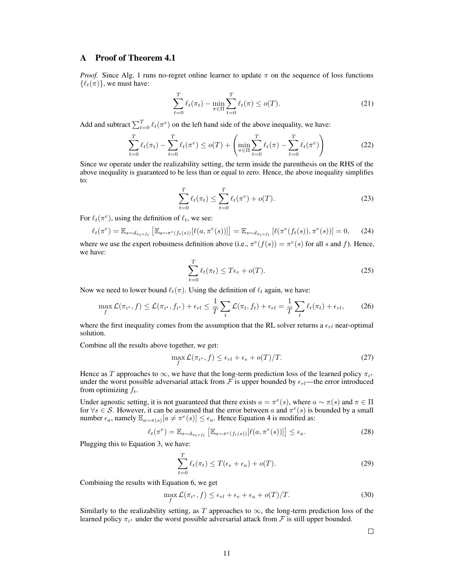# A Proof of Theorem 4.1

*Proof.* Since Alg. 1 runs no-regret online learner to update  $\pi$  on the sequence of loss functions  $\{\ell_t(\pi)\}\)$ , we must have:

$$
\sum_{t=0}^{T} \ell_t(\pi_t) - \min_{\pi \in \Pi} \sum_{t=0}^{T} \ell_t(\pi) \le o(T). \tag{21}
$$

Add and subtract  $\sum_{t=0}^{T} \ell_t(\pi^e)$  on the left hand side of the above inequality, we have:

$$
\sum_{t=0}^{T} \ell_t(\pi_t) - \sum_{t=0}^{T} \ell_t(\pi^e) \leq o(T) + \left( \min_{\pi \in \Pi} \sum_{t=0}^{T} \ell_t(\pi) - \sum_{t=0}^{T} \ell_t(\pi^e) \right)
$$
(22)

Since we operate under the realizability setting, the term inside the parenthesis on the RHS of the above inequality is guaranteed to be less than or equal to zero. Hence, the above inequality simplifies to:

$$
\sum_{t=0}^{T} \ell_t(\pi_t) \le \sum_{t=0}^{T} \ell_t(\pi^e) + o(T). \tag{23}
$$

For  $\ell_t(\pi^e)$ , using the definition of  $\ell_t$ , we see:

$$
\ell_t(\pi^e) = \mathbb{E}_{s \sim d_{\pi_t \circ f_t}} \left[ \mathbb{E}_{a \sim \pi^e(f_t(s))} [\ell(a, \pi^e(s))] \right] = \mathbb{E}_{s \sim d_{\pi_t \circ f_t}} [\ell(\pi^e(f_t(s)), \pi^e(s))] = 0, \tag{24}
$$

where we use the expert robustness definition above (i.e.,  $\pi^{e}(f(s)) = \pi^{e}(s)$  for all s and f). Hence, we have:

$$
\sum_{t=0}^{T} \ell_t(\pi_t) \le T\epsilon_e + o(T). \tag{25}
$$

Now we need to lower bound  $\ell_t(\pi)$ . Using the definition of  $\ell_t$  again, we have:

$$
\max_{f} \mathcal{L}(\pi_{i^*}, f) \le \mathcal{L}(\pi_{i^*}, f_{i^*}) + \epsilon_{rl} \le \frac{1}{T} \sum_{t} \mathcal{L}(\pi_t, f_t) + \epsilon_{rl} = \frac{1}{T} \sum_{t} \ell_t(\pi_t) + \epsilon_{rl},\tag{26}
$$

where the first inequality comes from the assumption that the RL solver returns a  $\epsilon_{rl}$  near-optimal solution.

Combine all the results above together, we get:

$$
\max_{f} \mathcal{L}(\pi_{i^*}, f) \le \epsilon_{rl} + \epsilon_e + o(T)/T. \tag{27}
$$

Hence as T approaches to  $\infty$ , we have that the long-term prediction loss of the learned policy  $\pi_{i^*}$ under the worst possible adversarial attack from  $\mathcal F$  is upper bounded by  $\epsilon_{rl}$ —the error introduced from optimizing  $f_t$ .

Under agnostic setting, it is not guaranteed that there exists  $a = \pi^e(s)$ , where  $a \sim \pi(s)$  and  $\pi \in \Pi$ for  $\forall s \in S$ . However, it can be assumed that the error between a and  $\pi^e(s)$  is bounded by a small number  $\epsilon_a$ , namely  $\mathbb{E}_{a \sim \pi(s)}[a \neq \pi^e(s)] \leq \epsilon_a$ . Hence Equation 4 is modified as:

$$
\ell_t(\pi^e) = \mathbb{E}_{s \sim d_{\pi_t \circ f_t}} \left[ \mathbb{E}_{a \sim \pi^e(f_t(s))} [\ell(a, \pi^e(s))] \right] \le \epsilon_a.
$$
 (28)

Plugging this to Equation 3, we have:

$$
\sum_{t=0}^{T} \ell_t(\pi_t) \le T(\epsilon_e + \epsilon_a) + o(T). \tag{29}
$$

Combining the results with Equation 6, we get

$$
\max_{f} \mathcal{L}(\pi_{i^*}, f) \le \epsilon_{rl} + \epsilon_e + \epsilon_a + o(T)/T.
$$
 (30)

Similarly to the realizability setting, as T approaches to  $\infty$ , the long-term prediction loss of the learned policy  $\pi_{i^*}$  under the worst possible adversarial attack from  $\mathcal F$  is still upper bounded.

 $\Box$